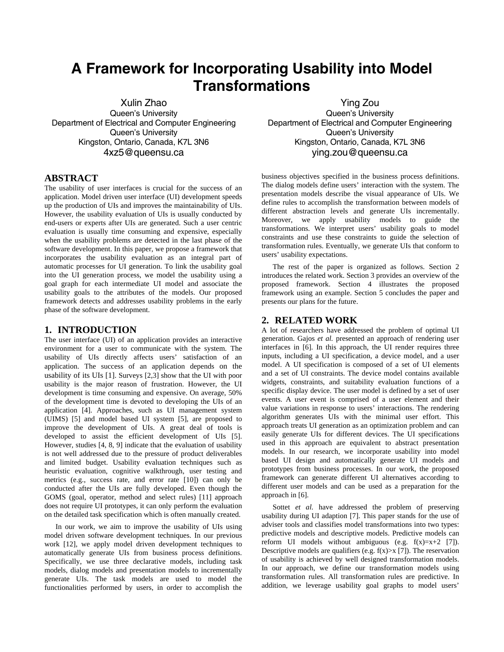# **A Framework for Incorporating Usability into Model Transformations**

Xulin Zhao Queen's University Department of Electrical and Computer Engineering Queen's University Kingston, Ontario, Canada, K7L 3N6 4xz5@queensu.ca

**ABSTRACT**

The usability of user interfaces is crucial for the success of an application. Model driven user interface (UI) development speeds up the production of UIs and improves the maintainability of UIs. However, the usability evaluation of UIs is usually conducted by end-users or experts after UIs are generated. Such a user centric evaluation is usually time consuming and expensive, especially when the usability problems are detected in the last phase of the software development. In this paper, we propose a framework that incorporates the usability evaluation as an integral part of automatic processes for UI generation. To link the usability goal into the UI generation process, we model the usability using a goal graph for each intermediate UI model and associate the usability goals to the attributes of the models. Our proposed framework detects and addresses usability problems in the early phase of the software development.

## **1. INTRODUCTION**

The user interface (UI) of an application provides an interactive environment for a user to communicate with the system. The usability of UIs directly affects users' satisfaction of an application. The success of an application depends on the usability of its UIs [1]. Surveys [2,3] show that the UI with poor usability is the major reason of frustration. However, the UI development is time consuming and expensive. On average, 50% of the development time is devoted to developing the UIs of an application [4]. Approaches, such as UI management system (UIMS) [5] and model based UI system [5], are proposed to improve the development of UIs. A great deal of tools is developed to assist the efficient development of UIs [5]. However, studies [4, 8, 9] indicate that the evaluation of usability is not well addressed due to the pressure of product deliverables and limited budget. Usability evaluation techniques such as heuristic evaluation, cognitive walkthrough, user testing and metrics (e.g., success rate, and error rate [10]) can only be conducted after the UIs are fully developed. Even though the GOMS (goal, operator, method and select rules) [11] approach does not require UI prototypes, it can only perform the evaluation on the detailed task specification which is often manually created.

In our work, we aim to improve the usability of UIs using model driven software development techniques. In our previous work [12], we apply model driven development techniques to automatically generate UIs from business process definitions. Specifically, we use three declarative models, including task models, dialog models and presentation models to incrementally generate UIs. The task models are used to model the functionalities performed by users, in order to accomplish the

Ying Zou Queen's University Department of Electrical and Computer Engineering Queen's University Kingston, Ontario, Canada, K7L 3N6 ying.zou@queensu.ca

business objectives specified in the business process definitions. The dialog models define users' interaction with the system. The presentation models describe the visual appearance of UIs. We define rules to accomplish the transformation between models of different abstraction levels and generate UIs incrementally. Moreover, we apply usability models to guide the transformations. We interpret users' usability goals to model constraints and use these constraints to guide the selection of transformation rules. Eventually, we generate UIs that conform to users' usability expectations.

The rest of the paper is organized as follows. Section 2 introduces the related work. Section 3 provides an overview of the proposed framework. Section 4 illustrates the proposed framework using an example. Section 5 concludes the paper and presents our plans for the future.

#### **2. RELATED WORK**

A lot of researchers have addressed the problem of optimal UI generation. Gajos *et al.* presented an approach of rendering user interfaces in [6]. In this approach, the UI render requires three inputs, including a UI specification, a device model, and a user model. A UI specification is composed of a set of UI elements and a set of UI constraints. The device model contains available widgets, constraints, and suitability evaluation functions of a specific display device. The user model is defined by a set of user events. A user event is comprised of a user element and their value variations in response to users' interactions. The rendering algorithm generates UIs with the minimal user effort. This approach treats UI generation as an optimization problem and can easily generate UIs for different devices. The UI specifications used in this approach are equivalent to abstract presentation models. In our research, we incorporate usability into model based UI design and automatically generate UI models and prototypes from business processes. In our work, the proposed framework can generate different UI alternatives according to different user models and can be used as a preparation for the approach in [6].

Sottet *et al.* have addressed the problem of preserving usability during UI adaption [7]. This paper stands for the use of adviser tools and classifies model transformations into two types: predictive models and descriptive models. Predictive models can reform UI models without ambiguous (e.g.  $f(x)=x+2$  [7]). Descriptive models are qualifiers (e.g.  $f(x) > x$  [7]). The reservation of usability is achieved by well designed transformation models. In our approach, we define our transformation models using transformation rules. All transformation rules are predictive. In addition, we leverage usability goal graphs to model users'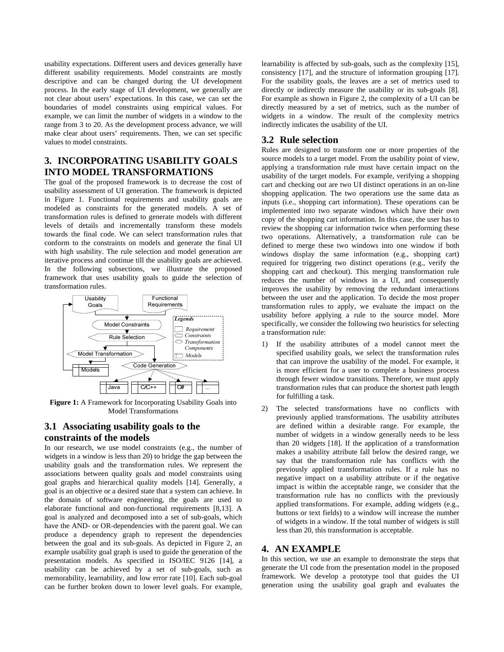usability expectations. Different users and devices generally have different usability requirements. Model constraints are mostly descriptive and can be changed during the UI development process. In the early stage of UI development, we generally are not clear about users' expectations. In this case, we can set the boundaries of model constraints using empirical values. For example, we can limit the number of widgets in a window to the range from 3 to 20. As the development process advance, we will make clear about users' requirements. Then, we can set specific values to model constraints.

## **3. INCORPORATING USABILITY GOALS INTO MODEL TRANSFORMATIONS**

The goal of the proposed framework is to decrease the cost of usability assessment of UI generation. The framework is depicted in Figure 1. Functional requirements and usability goals are modeled as constraints for the generated models. A set of transformation rules is defined to generate models with different levels of details and incrementally transform these models towards the final code. We can select transformation rules that conform to the constraints on models and generate the final UI with high usability. The rule selection and model generation are iterative process and continue till the usability goals are achieved. In the following subsections, we illustrate the proposed framework that uses usability goals to guide the selection of transformation rules.



**Figure 1:** A Framework for Incorporating Usability Goals into Model Transformations

## **3.1 Associating usability goals to the constraints of the models**

In our research, we use model constraints (e.g., the number of widgets in a window is less than 20) to bridge the gap between the usability goals and the transformation rules. We represent the associations between quality goals and model constraints using goal graphs and hierarchical quality models [14]. Generally, a goal is an objective or a desired state that a system can achieve. In the domain of software engineering, the goals are used to elaborate functional and non-functional requirements [8,13]. A goal is analyzed and decomposed into a set of sub-goals, which have the AND- or OR-dependencies with the parent goal. We can produce a dependency graph to represent the dependencies between the goal and its sub-goals. As depicted in Figure 2, an example usability goal graph is used to guide the generation of the presentation models. As specified in ISO/IEC 9126 [14], a usability can be achieved by a set of sub-goals, such as memorability, learnability, and low error rate [10]. Each sub-goal can be further broken down to lower level goals. For example,

learnability is affected by sub-goals, such as the complexity [15], consistency [17], and the structure of information grouping [17]. For the usability goals, the leaves are a set of metrics used to directly or indirectly measure the usability or its sub-goals [8]. For example as shown in Figure 2, the complexity of a UI can be directly measured by a set of metrics, such as the number of widgets in a window. The result of the complexity metrics indirectly indicates the usability of the UI.

## **3.2 Rule selection**

Rules are designed to transform one or more properties of the source models to a target model. From the usability point of view, applying a transformation rule must have certain impact on the usability of the target models. For example, verifying a shopping cart and checking out are two UI distinct operations in an on-line shopping application. The two operations use the same data as inputs (i.e., shopping cart information). These operations can be implemented into two separate windows which have their own copy of the shopping cart information. In this case, the user has to review the shopping car information twice when performing these two operations. Alternatively, a transformation rule can be defined to merge these two windows into one window if both windows display the same information (e.g., shopping cart) required for triggering two distinct operations (e.g., verify the shopping cart and checkout). This merging transformation rule reduces the number of windows in a UI, and consequently improves the usability by removing the redundant interactions between the user and the application. To decide the most proper transformation rules to apply, we evaluate the impact on the usability before applying a rule to the source model. More specifically, we consider the following two heuristics for selecting a transformation rule:

- 1) If the usability attributes of a model cannot meet the specified usability goals, we select the transformation rules that can improve the usability of the model. For example, it is more efficient for a user to complete a business process through fewer window transitions. Therefore, we must apply transformation rules that can produce the shortest path length for fulfilling a task.
- 2) The selected transformations have no conflicts with previously applied transformations. The usability attributes are defined within a desirable range. For example, the number of widgets in a window generally needs to be less than 20 widgets [18]. If the application of a transformation makes a usability attribute fall below the desired range, we say that the transformation rule has conflicts with the previously applied transformation rules. If a rule has no negative impact on a usability attribute or if the negative impact is within the acceptable range, we consider that the transformation rule has no conflicts with the previously applied transformations. For example, adding widgets (e.g., buttons or text fields) to a window will increase the number of widgets in a window. If the total number of widgets is still less than 20, this transformation is acceptable.

## **4. AN EXAMPLE**

In this section, we use an example to demonstrate the steps that generate the UI code from the presentation model in the proposed framework. We develop a prototype tool that guides the UI generation using the usability goal graph and evaluates the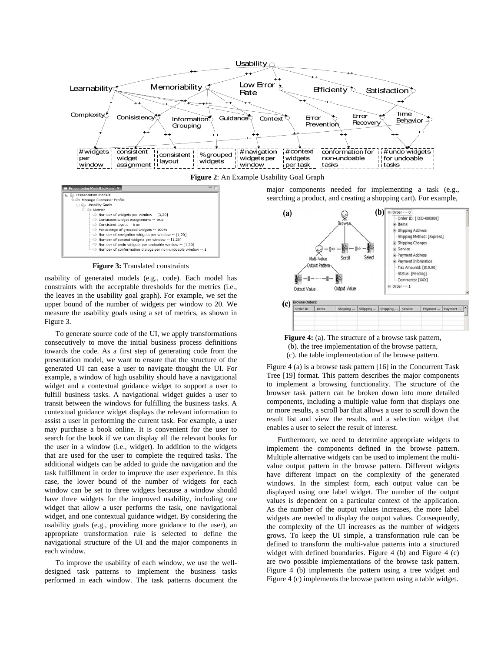

**Figure 2**: An Example Usability Goal Graph



**Figure 3:** Translated constraints

usability of generated models (e.g., code). Each model has constraints with the acceptable thresholds for the metrics (i.e., the leaves in the usability goal graph). For example, we set the upper bound of the number of widgets per window to 20. We measure the usability goals using a set of metrics, as shown in Figure 3.

To generate source code of the UI, we apply transformations consecutively to move the initial business process definitions towards the code. As a first step of generating code from the presentation model, we want to ensure that the structure of the generated UI can ease a user to navigate thought the UI. For example, a window of high usability should have a navigational widget and a contextual guidance widget to support a user to fulfill business tasks. A navigational widget guides a user to transit between the windows for fulfilling the business tasks. A contextual guidance widget displays the relevant information to assist a user in performing the current task. For example, a user may purchase a book online. It is convenient for the user to search for the book if we can display all the relevant books for the user in a window (i.e., widget). In addition to the widgets that are used for the user to complete the required tasks. The additional widgets can be added to guide the navigation and the task fulfillment in order to improve the user experience. In this case, the lower bound of the number of widgets for each window can be set to three widgets because a window should have three widgets for the improved usability, including one widget that allow a user performs the task, one navigational widget, and one contextual guidance widget. By considering the usability goals (e.g., providing more guidance to the user), an appropriate transformation rule is selected to define the navigational structure of the UI and the major components in each window.

To improve the usability of each window, we use the welldesigned task patterns to implement the business tasks performed in each window. The task patterns document the major components needed for implementing a task (e.g., searching a product, and creating a shopping cart). For example,





Figure 4 (a) is a browse task pattern [16] in the Concurrent Task Tree [19] format. This pattern describes the major components to implement a browsing functionality. The structure of the browser task pattern can be broken down into more detailed components, including a multiple value form that displays one or more results, a scroll bar that allows a user to scroll down the result list and view the results, and a selection widget that enables a user to select the result of interest.

Furthermore, we need to determine appropriate widgets to implement the components defined in the browse pattern. Multiple alternative widgets can be used to implement the multivalue output pattern in the browse pattern. Different widgets have different impact on the complexity of the generated windows. In the simplest form, each output value can be displayed using one label widget. The number of the output values is dependent on a particular context of the application. As the number of the output values increases, the more label widgets are needed to display the output values. Consequently, the complexity of the UI increases as the number of widgets grows. To keep the UI simple, a transformation rule can be defined to transform the multi-value patterns into a structured widget with defined boundaries. Figure 4 (b) and Figure 4 (c) are two possible implementations of the browse task pattern. Figure 4 (b) implements the pattern using a tree widget and Figure 4 (c) implements the browse pattern using a table widget.